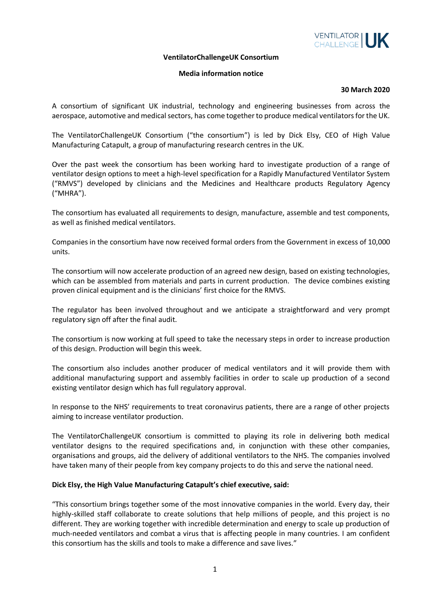

### **VentilatorChallengeUK Consortium**

## **Media information notice**

#### **30 March 2020**

A consortium of significant UK industrial, technology and engineering businesses from across the aerospace, automotive and medical sectors, has come together to produce medical ventilators for the UK.

The VentilatorChallengeUK Consortium ("the consortium") is led by Dick Elsy, CEO of High Value Manufacturing Catapult, a group of manufacturing research centres in the UK.

Over the past week the consortium has been working hard to investigate production of a range of ventilator design options to meet a high-level specification for a Rapidly Manufactured Ventilator System ("RMVS") developed by clinicians and the Medicines and Healthcare products Regulatory Agency ("MHRA").

The consortium has evaluated all requirements to design, manufacture, assemble and test components, as well as finished medical ventilators.

Companies in the consortium have now received formal orders from the Government in excess of 10,000 units.

The consortium will now accelerate production of an agreed new design, based on existing technologies, which can be assembled from materials and parts in current production. The device combines existing proven clinical equipment and is the clinicians' first choice for the RMVS.

The regulator has been involved throughout and we anticipate a straightforward and very prompt regulatory sign off after the final audit.

The consortium is now working at full speed to take the necessary steps in order to increase production of this design. Production will begin this week.

The consortium also includes another producer of medical ventilators and it will provide them with additional manufacturing support and assembly facilities in order to scale up production of a second existing ventilator design which has full regulatory approval.

In response to the NHS' requirements to treat coronavirus patients, there are a range of other projects aiming to increase ventilator production.

The VentilatorChallengeUK consortium is committed to playing its role in delivering both medical ventilator designs to the required specifications and, in conjunction with these other companies, organisations and groups, aid the delivery of additional ventilators to the NHS. The companies involved have taken many of their people from key company projects to do this and serve the national need.

## **Dick Elsy, the High Value Manufacturing Catapult's chief executive, said:**

"This consortium brings together some of the most innovative companies in the world. Every day, their highly-skilled staff collaborate to create solutions that help millions of people, and this project is no different. They are working together with incredible determination and energy to scale up production of much-needed ventilators and combat a virus that is affecting people in many countries. I am confident this consortium has the skills and tools to make a difference and save lives."